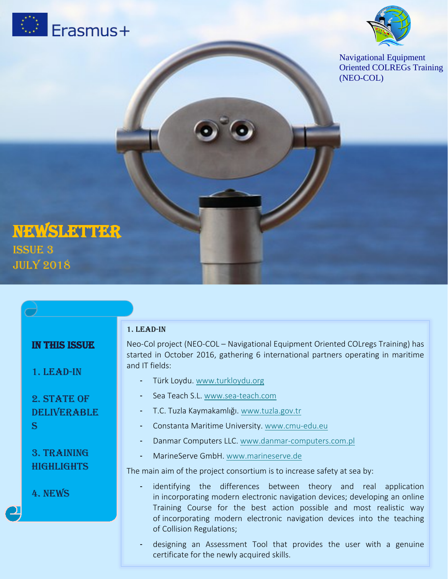



Navigational Equipment Oriented COLREGs Training (NEO-COL)

# NEWSLETTER July 2018

|  |                                    | 1. LEAD-IN                                                                                                                |
|--|------------------------------------|---------------------------------------------------------------------------------------------------------------------------|
|  | <b>IN THIS ISSUE</b><br>1. LEAD-IN | Neo-Col project (NEO-COL - Navigational Equipment<br>started in October 2016, gathering 6 international<br>and IT fields: |
|  |                                    | Türk Loydu. www.turkloydu.org                                                                                             |
|  | 2. STATE OF                        | Sea Teach S.L. www.sea-teach.com                                                                                          |
|  | DELIVERABLE                        | T.C. Tuzla Kaymakamlığı. www.tuzla.gov.tr                                                                                 |
|  | S                                  | Constanta Maritime University. www.cmu-ed                                                                                 |
|  |                                    | Danmar Computers LLC. www.danmar-comp                                                                                     |
|  | 3. TRAINING                        | MarineServe GmbH. www.marineserve.de                                                                                      |
|  | <b>HIGHLIGHTS</b>                  | The main aim of the project consortium is to increase                                                                     |
|  | 4. NEWS                            | identifying the differences between t<br>in incorporating modern electronic navigatio                                     |
|  |                                    | Training Course for the best action pos<br>of incorporating modern electronic navigat                                     |
|  |                                    | of Collision Regulations:                                                                                                 |

Oriented COLregs Training) has partners operating in maritime

- Constanta Maritime University. [www.cmu-edu.eu](http://www.cmu-edu.eu/)
- uters.com.pl

e safety at sea by:

- heory and real application n devices; developing an online sible and most realistic way ion devices into the teaching of Collision Regulations;
- designing an Assessment Tool that provides the user with a genuine certificate for the newly acquired skills.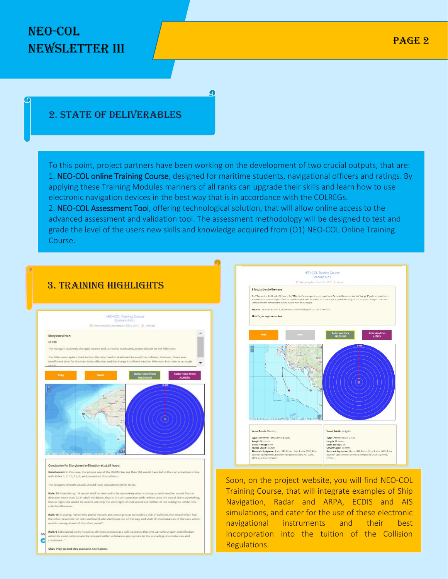# NEO-COL Newsletter III

### 2. State of deliverables

To this point, project partners have been working on the development of two crucial outputs, that are: 1. NEO-COL online Training Course, designed for maritime students, navigational officers and ratings. By applying these Training Modules mariners of all ranks can upgrade their skills and learn how to use electronic navigation devices in the best way that is in accordance with the COLREGs. 2. NEO-COL Assessment Tool, offering technological solution, that will allow online access to the advanced assessment and validation tool. The assessment methodology will be designed to test and grade the level of the users new skills and knowledge acquired from (O1) NEO-COL Online Training

Course.





Soon, on the project website, you will find NEO-COL Training Course, that will integrate examples of Ship Navigation, Radar and ARPA, ECDIS and AIS simulations, and cater for the use of these electronic navigational instruments and their best incorporation into the tuition of the Collision Regulations.